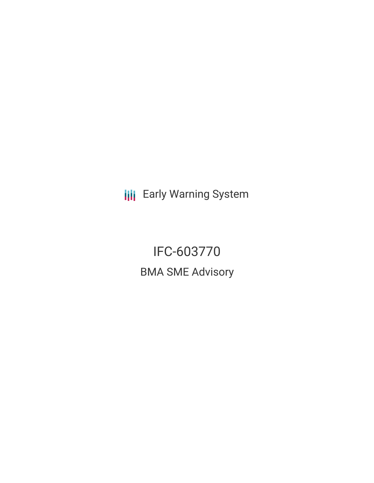**III** Early Warning System

IFC-603770 BMA SME Advisory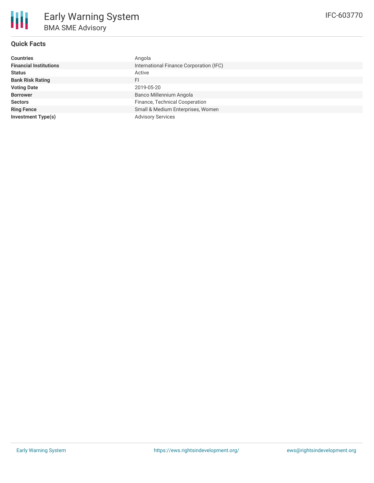

# **Quick Facts**

| <b>Countries</b>              | Angola                                  |
|-------------------------------|-----------------------------------------|
| <b>Financial Institutions</b> | International Finance Corporation (IFC) |
| <b>Status</b>                 | Active                                  |
| <b>Bank Risk Rating</b>       | FI                                      |
| <b>Voting Date</b>            | 2019-05-20                              |
| <b>Borrower</b>               | Banco Millennium Angola                 |
| <b>Sectors</b>                | Finance, Technical Cooperation          |
| <b>Ring Fence</b>             | Small & Medium Enterprises, Women       |
| <b>Investment Type(s)</b>     | <b>Advisory Services</b>                |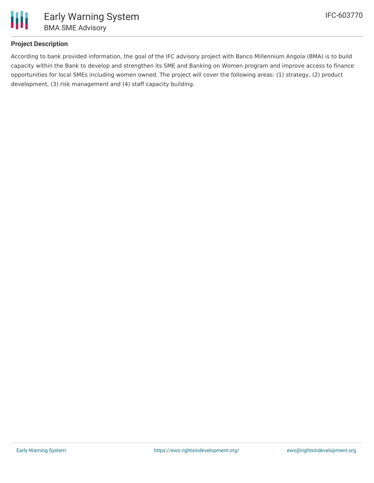

## **Project Description**

According to bank provided information, the goal of the IFC advisory project with Banco Millennium Angola (BMA) is to build capacity within the Bank to develop and strengthen its SME and Banking on Women program and improve access to finance opportunities for local SMEs including women owned. The project will cover the following areas: (1) strategy, (2) product development, (3) risk management and (4) staff capacity building.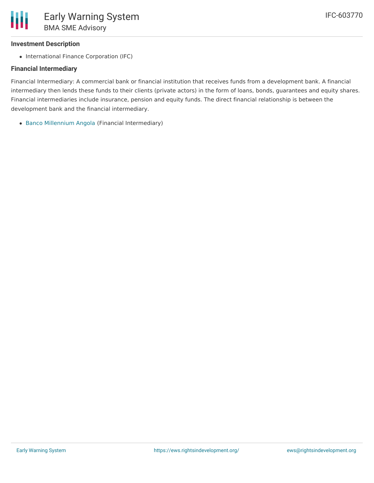### **Investment Description**

• International Finance Corporation (IFC)

## **Financial Intermediary**

Financial Intermediary: A commercial bank or financial institution that receives funds from a development bank. A financial intermediary then lends these funds to their clients (private actors) in the form of loans, bonds, guarantees and equity shares. Financial intermediaries include insurance, pension and equity funds. The direct financial relationship is between the development bank and the financial intermediary.

Banco [Millennium](file:///actor/3022/) Angola (Financial Intermediary)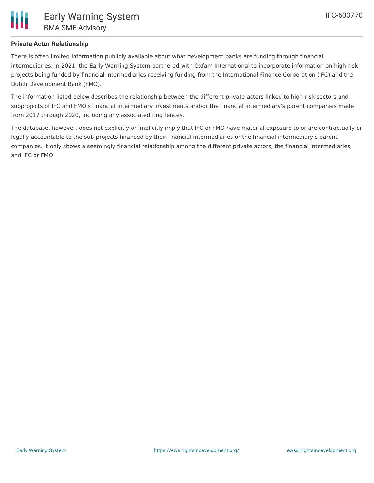

## **Private Actor Relationship**

There is often limited information publicly available about what development banks are funding through financial intermediaries. In 2021, the Early Warning System partnered with Oxfam International to incorporate information on high-risk projects being funded by financial intermediaries receiving funding from the International Finance Corporation (IFC) and the Dutch Development Bank (FMO).

The information listed below describes the relationship between the different private actors linked to high-risk sectors and subprojects of IFC and FMO's financial intermediary investments and/or the financial intermediary's parent companies made from 2017 through 2020, including any associated ring fences.

The database, however, does not explicitly or implicitly imply that IFC or FMO have material exposure to or are contractually or legally accountable to the sub-projects financed by their financial intermediaries or the financial intermediary's parent companies. It only shows a seemingly financial relationship among the different private actors, the financial intermediaries, and IFC or FMO.